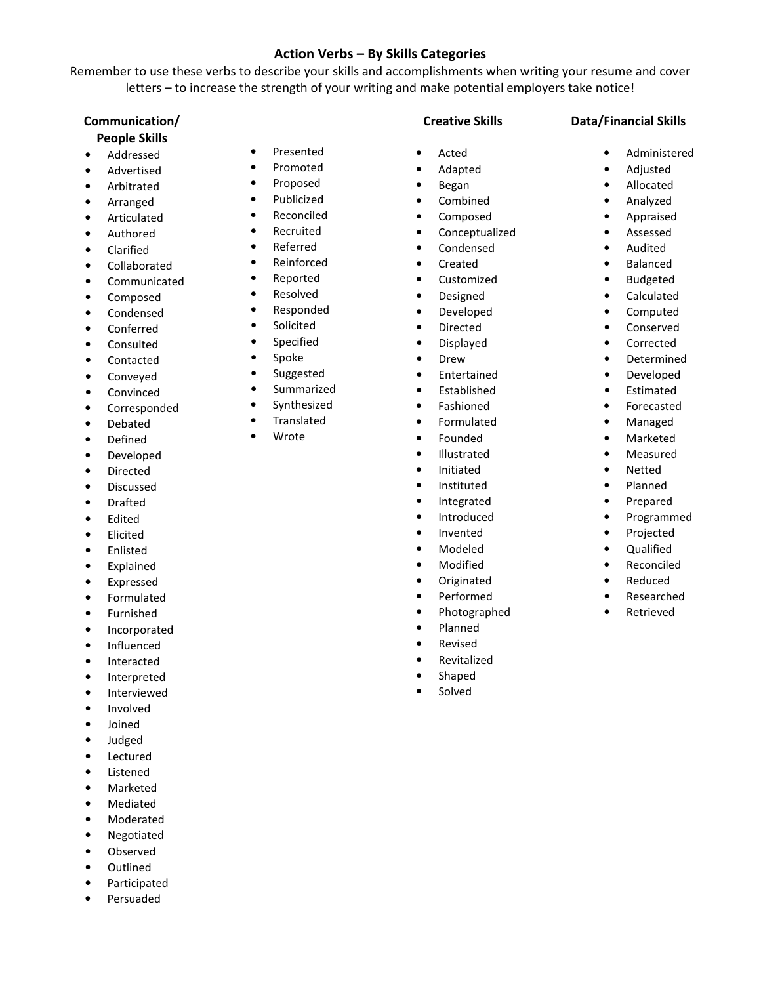# Action Verbs – By Skills Categories

Remember to use these verbs to describe your skills and accomplishments when writing your resume and cover letters – to increase the strength of your writing and make potential employers take notice!

# Communication/

# People Skills

- Addressed
- **Advertised**
- Arbitrated
- Arranged
- Articulated
- Authored
- Clarified
- Collaborated
- Communicated
- Composed
- Condensed
- Conferred
- Consulted
- Contacted
- Conveyed
- Convinced
- Corresponded
- Debated
- Defined
- Developed
- Directed
- Discussed
- Drafted
- **Edited**
- Elicited
- Enlisted
- Explained
- Expressed
- Formulated
- **Furnished**
- **Incorporated**
- Influenced
- Interacted
- Interpreted
- Interviewed
- Involved
- Joined
- Judged
- Lectured
- Listened
- **Marketed**
- **Mediated**
- Moderated
- Negotiated
- Observed
- Outlined
- Participated
- Persuaded
- Presented • Promoted
- Proposed
- Publicized
- Reconciled
- Recruited
- Referred
- Reinforced
- Reported
- Resolved
- Responded
- Solicited
- Specified
- Spoke
- Suggested
- Summarized
- Synthesized
- Translated
- Wrote

Creative Skills

• Acted • Adapted • Began • Combined • Composed • Conceptualized • Condensed • Created • Customized • Designed • Developed • Directed • Displayed • Drew • Entertained • Established • Fashioned • Formulated • Founded • Illustrated • Initiated • Instituted • Integrated • Introduced • Invented • Modeled • Modified • Originated • Performed • Photographed • Planned • Revised • Revitalized **Shaped Solved** 

# Data/Financial Skills

- Administered
- Adjusted
- Allocated
- Analyzed
- Appraised
- Assessed
- Audited
- Balanced
- Budgeted
- Calculated
- Computed
- 
- **Conserved**
- Corrected
- Determined
- Developed
- **Estimated**
- **Forecasted**
- Managed
- Marketed
- Measured
- Netted
- Planned
- Prepared
- Programmed
- Projected
- Qualified
- **Reconciled** • Reduced

• Researched • Retrieved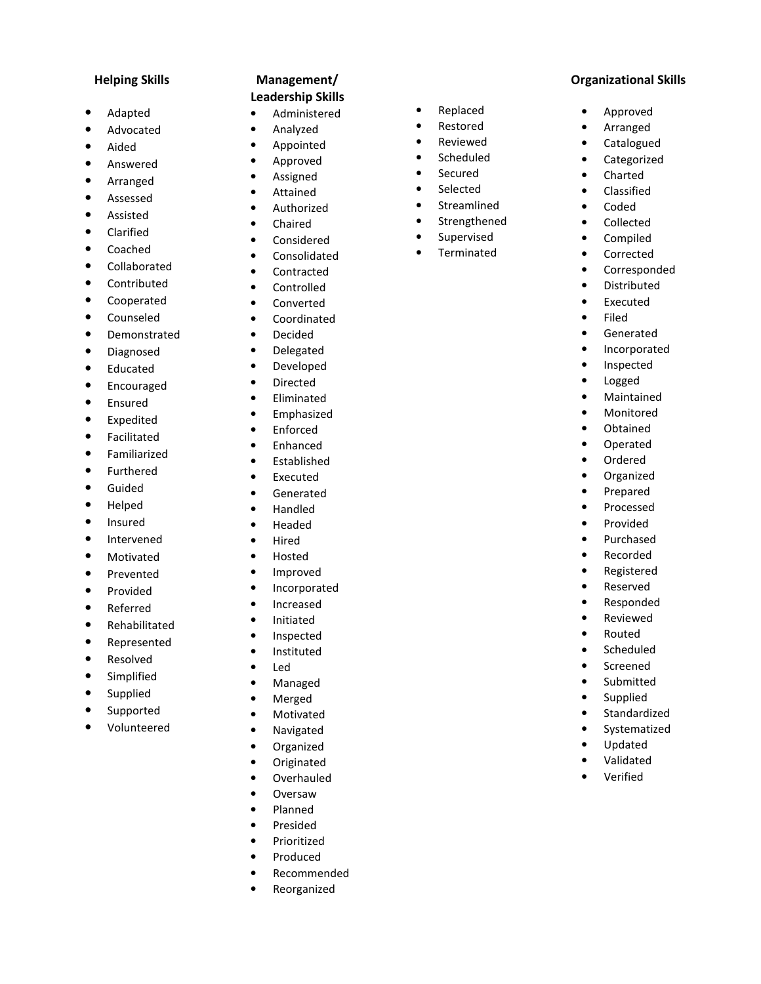#### Helping Skills

- Adapted
- **Advocated**
- Aided
- Answered
- Arranged
- **Assessed**
- **Assisted**
- **Clarified**
- Coached
- Collaborated
- Contributed
- **Cooperated**
- Counseled
- **Demonstrated**
- Diagnosed
- Educated
- Encouraged
- Ensured
- Expedited
- **Facilitated**
- Familiarized
- **Furthered**
- Guided
- Helped
- Insured
- Intervened
- Motivated
- 
- Prevented
- Provided
- Referred
- Rehabilitated
- Represented
- Resolved
- **Simplified**
- **Supplied**
- **Supported**
- Volunteered

## Management/ Leadership Skills

- Administered
- Analyzed
- Appointed
- Approved
- Assigned
- Attained
- Authorized
- Chaired
- **Considered**
- **Consolidated**
- Contracted
- Controlled
- Converted
- Coordinated
- Decided
- Delegated
- Developed
- Directed
- Eliminated
- Emphasized
- **Enforced**
- Enhanced
- Established
- Executed
- Generated
- Handled
- Headed
- Hired
- Hosted
- Improved
- Incorporated
- Increased
- Initiated
- **Inspected**
- Instituted
- Led
- Managed
- Merged
- **Motivated**
- Navigated
- Organized
- **Originated**
- Overhauled
- Oversaw
- Planned
- Presided
- Prioritized
- Produced
- Recommended
- **Reorganized**

• Replaced

Organizational Skills

• Approved • Arranged • Catalogued • Categorized • Charted • Classified • Coded • Collected • Compiled • Corrected • Corresponded • Distributed • Executed • Filed • Generated • Incorporated • Inspected • Logged • Maintained • Monitored • Obtained • Operated • Ordered • Organized • Prepared • Processed • Provided • Purchased • Recorded • Registered • Reserved • Responded • Reviewed • Routed • Scheduled • Screened • Submitted • Supplied • Standardized • Systematized • Updated • Validated • Verified

- Restored
- Reviewed
- Scheduled
- Secured
- Selected
- Streamlined
- Strengthened
- Supervised
- Terminated